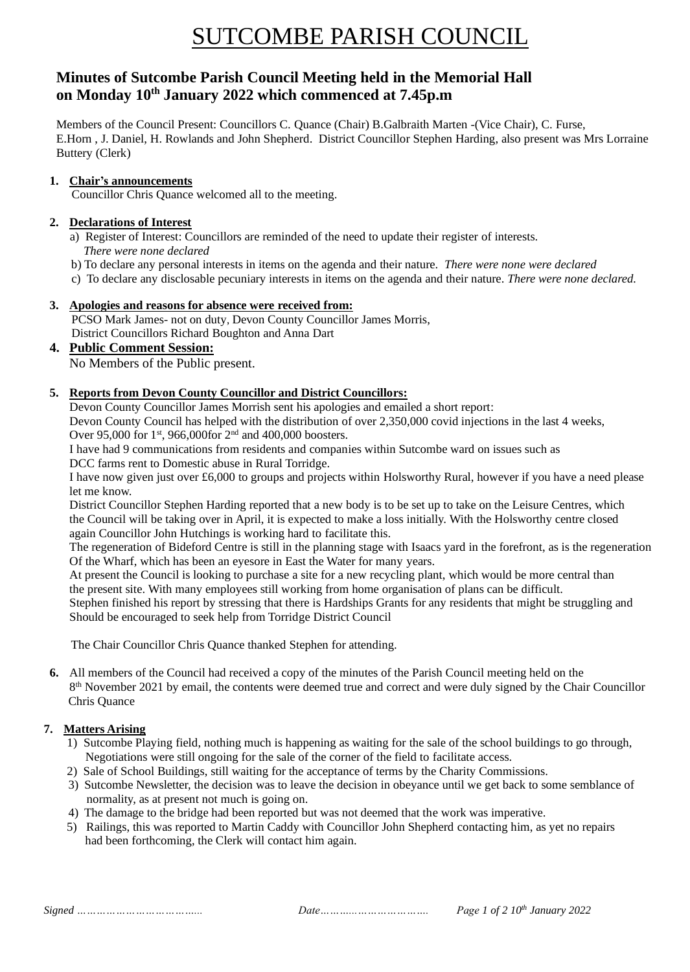# SUTCOMBE PARISH COUNCIL

# **Minutes of Sutcombe Parish Council Meeting held in the Memorial Hall on Monday 10th January 2022 which commenced at 7.45p.m**

Members of the Council Present: Councillors C. Quance (Chair) B.Galbraith Marten -(Vice Chair), C. Furse, E.Horn , J. Daniel, H. Rowlands and John Shepherd. District Councillor Stephen Harding, also present was Mrs Lorraine Buttery (Clerk)

#### **1. Chair's announcements**

Councillor Chris Quance welcomed all to the meeting.

#### **2. Declarations of Interest**

- a) Register of Interest: Councillors are reminded of the need to update their register of interests.  *There were none declared*
- b) To declare any personal interests in items on the agenda and their nature. *There were none were declared*
- c) To declare any disclosable pecuniary interests in items on the agenda and their nature. *There were none declared.*

### **3. Apologies and reasons for absence were received from:**

 PCSO Mark James- not on duty, Devon County Councillor James Morris, District Councillors Richard Boughton and Anna Dart

# **4. Public Comment Session:**

No Members of the Public present.

### **5. Reports from Devon County Councillor and District Councillors:**

Devon County Councillor James Morrish sent his apologies and emailed a short report:

Devon County Council has helped with the distribution of over 2,350,000 covid injections in the last 4 weeks,

Over 95,000 for 1st, 966,000for 2nd and 400,000 boosters.

I have had 9 communications from residents and companies within Sutcombe ward on issues such as DCC farms rent to Domestic abuse in Rural Torridge.

I have now given just over £6,000 to groups and projects within Holsworthy Rural, however if you have a need please let me know.

District Councillor Stephen Harding reported that a new body is to be set up to take on the Leisure Centres, which the Council will be taking over in April, it is expected to make a loss initially. With the Holsworthy centre closed again Councillor John Hutchings is working hard to facilitate this.

The regeneration of Bideford Centre is still in the planning stage with Isaacs yard in the forefront, as is the regeneration Of the Wharf, which has been an eyesore in East the Water for many years.

At present the Council is looking to purchase a site for a new recycling plant, which would be more central than the present site. With many employees still working from home organisation of plans can be difficult.

Stephen finished his report by stressing that there is Hardships Grants for any residents that might be struggling and Should be encouraged to seek help from Torridge District Council

The Chair Councillor Chris Quance thanked Stephen for attending.

**6.** All members of the Council had received a copy of the minutes of the Parish Council meeting held on the 8<sup>th</sup> November 2021 by email, the contents were deemed true and correct and were duly signed by the Chair Councillor Chris Quance

# **7. Matters Arising**

- 1) Sutcombe Playing field, nothing much is happening as waiting for the sale of the school buildings to go through, Negotiations were still ongoing for the sale of the corner of the field to facilitate access.
- 2) Sale of School Buildings, still waiting for the acceptance of terms by the Charity Commissions.
- 3) Sutcombe Newsletter, the decision was to leave the decision in obeyance until we get back to some semblance of normality, as at present not much is going on.
- 4) The damage to the bridge had been reported but was not deemed that the work was imperative.
- 5) Railings, this was reported to Martin Caddy with Councillor John Shepherd contacting him, as yet no repairs had been forthcoming, the Clerk will contact him again.